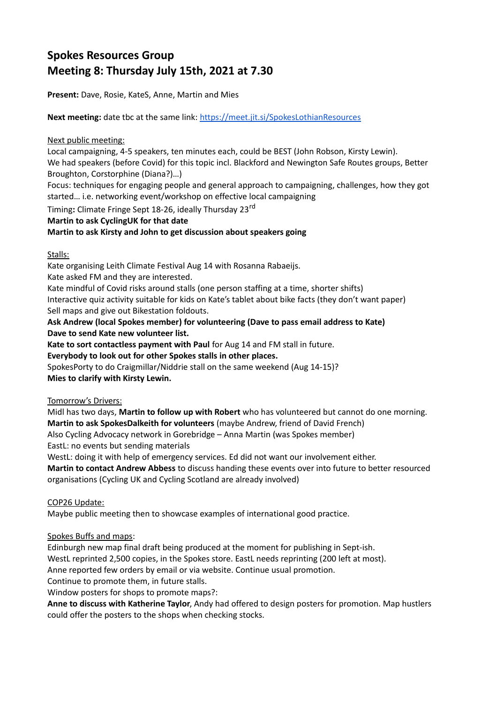# **Spokes Resources Group Meeting 8: Thursday July 15th, 2021 at 7.30**

**Present:** Dave, Rosie, KateS, Anne, Martin and Mies

**Next meeting:** date tbc at the same link:<https://meet.jit.si/SpokesLothianResources>

### Next public meeting:

Local campaigning, 4-5 speakers, ten minutes each, could be BEST (John Robson, Kirsty Lewin). We had speakers (before Covid) for this topic incl. Blackford and Newington Safe Routes groups, Better Broughton, Corstorphine (Diana?)…)

Focus: techniques for engaging people and general approach to campaigning, challenges, how they got started… i.e. networking event/workshop on effective local campaigning

Timing**:** Climate Fringe Sept 18-26, ideally Thursday 23rd

#### **Martin to ask CyclingUK for that date**

**Martin to ask Kirsty and John to get discussion about speakers going**

Stalls:

Kate organising Leith Climate Festival Aug 14 with Rosanna Rabaeijs.

Kate asked FM and they are interested.

Kate mindful of Covid risks around stalls (one person staffing at a time, shorter shifts) Interactive quiz activity suitable for kids on Kate's tablet about bike facts (they don't want paper) Sell maps and give out Bikestation foldouts.

# **Ask Andrew (local Spokes member) for volunteering (Dave to pass email address to Kate) Dave to send Kate new volunteer list.**

**Kate to sort contactless payment with Paul** for Aug 14 and FM stall in future.

**Everybody to look out for other Spokes stalls in other places.**

SpokesPorty to do Craigmillar/Niddrie stall on the same weekend (Aug 14-15)?

**Mies to clarify with Kirsty Lewin.**

## Tomorrow's Drivers:

Midl has two days, **Martin to follow up with Robert** who has volunteered but cannot do one morning. **Martin to ask SpokesDalkeith for volunteers** (maybe Andrew, friend of David French)

Also Cycling Advocacy network in Gorebridge – Anna Martin (was Spokes member) EastL: no events but sending materials

WestL: doing it with help of emergency services. Ed did not want our involvement either.

**Martin to contact Andrew Abbess** to discuss handing these events over into future to better resourced organisations (Cycling UK and Cycling Scotland are already involved)

## COP26 Update:

Maybe public meeting then to showcase examples of international good practice.

## Spokes Buffs and maps:

Edinburgh new map final draft being produced at the moment for publishing in Sept-ish.

WestL reprinted 2,500 copies, in the Spokes store. EastL needs reprinting (200 left at most).

Anne reported few orders by email or via website. Continue usual promotion.

Continue to promote them, in future stalls.

Window posters for shops to promote maps?:

**Anne to discuss with Katherine Taylor**, Andy had offered to design posters for promotion. Map hustlers could offer the posters to the shops when checking stocks.